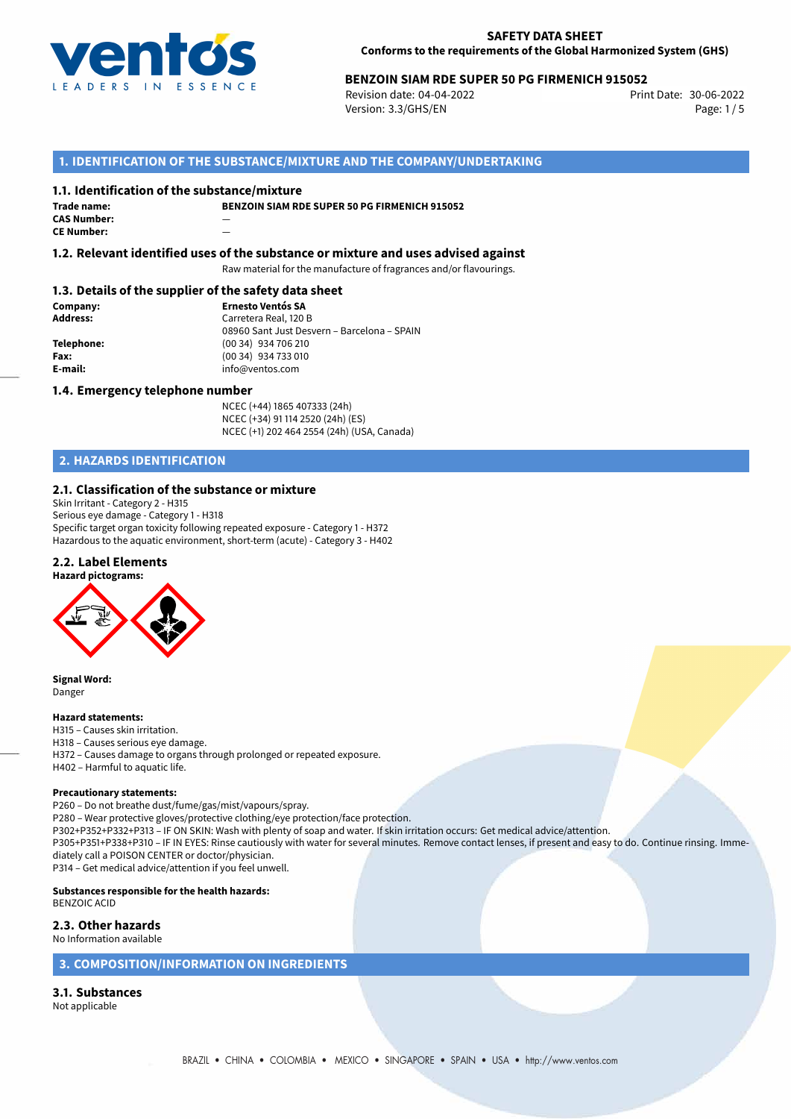

# 30-06-2022 **BENZOIN SIAM RDE SUPER 50 PG FIRMENICH 915052**

Revision date: 04-04-2022 Version: 3.3/GHS/EN Page: 1/5

# **1. IDENTIFICATION OF THE SUBSTANCE/MIXTURE AND THE COMPANY/UNDERTAKING**

### **1.1. Identification of the substance/mixture**

**Trade name: CAS Number:** — **CE Number:** —

**BENZOIN SIAM RDE SUPER 50 PG FIRMENICH 915052**

**1.2. Relevant identified uses of the substance or mixture and uses advised against**

Raw material for the manufacture of fragrances and/or flavourings.

# **1.3. Details of the supplier of the safety data sheet**

**Company: Ernesto Ventós SA Address:** Carretera Real, 120 B 08960 Sant Just Desvern – Barcelona – SPAIN **Telephone:** (00 34) 934 706 210 **Fax:** (00 34) 934 733 010<br> **E-mail:** example the info@ventos.com **E-mail:** info@ventos.com

### **1.4. Emergency telephone number**

NCEC (+44) 1865 407333 (24h) NCEC (+34) 91 114 2520 (24h) (ES) NCEC (+1) 202 464 2554 (24h) (USA, Canada)

# **2. HAZARDS IDENTIFICATION**

# **2.1. Classification of the substance or mixture**

Skin Irritant - Category 2 - H315 Serious eye damage - Category 1 - H318 Specific target organ toxicity following repeated exposure - Category 1 - H372 Hazardous to the aquatic environment, short-term (acute) - Category 3 - H402

# **2.2. Label Elements**



**Signal Word:** Danger

#### **Hazard statements:**

H315 – Causes skin irritation.

- H318 Causes serious eye damage.
- H372 Causes damage to organs through prolonged or repeated exposure.
- H402 Harmful to aquatic life.

#### **Precautionary statements:**

P260 – Do not breathe dust/fume/gas/mist/vapours/spray.

P280 – Wear protective gloves/protective clothing/eye protection/face protection.

P302+P352+P332+P313 – IF ON SKIN: Wash with plenty of soap and water. If skin irritation occurs: Get medical advice/attention.

P305+P351+P338+P310 – IF IN EYES: Rinse cautiously with water for several minutes. Remove contact lenses, if present and easy to do. Continue rinsing. Immediately call a POISON CENTER or doctor/physician.

P314 – Get medical advice/attention if you feel unwell.

**Substances responsible for the health hazards:** BENZOIC ACID

**2.3. Other hazards**

No Information available

## **3. COMPOSITION/INFORMATION ON INGREDIENTS**

**3.1. Substances** Not applicable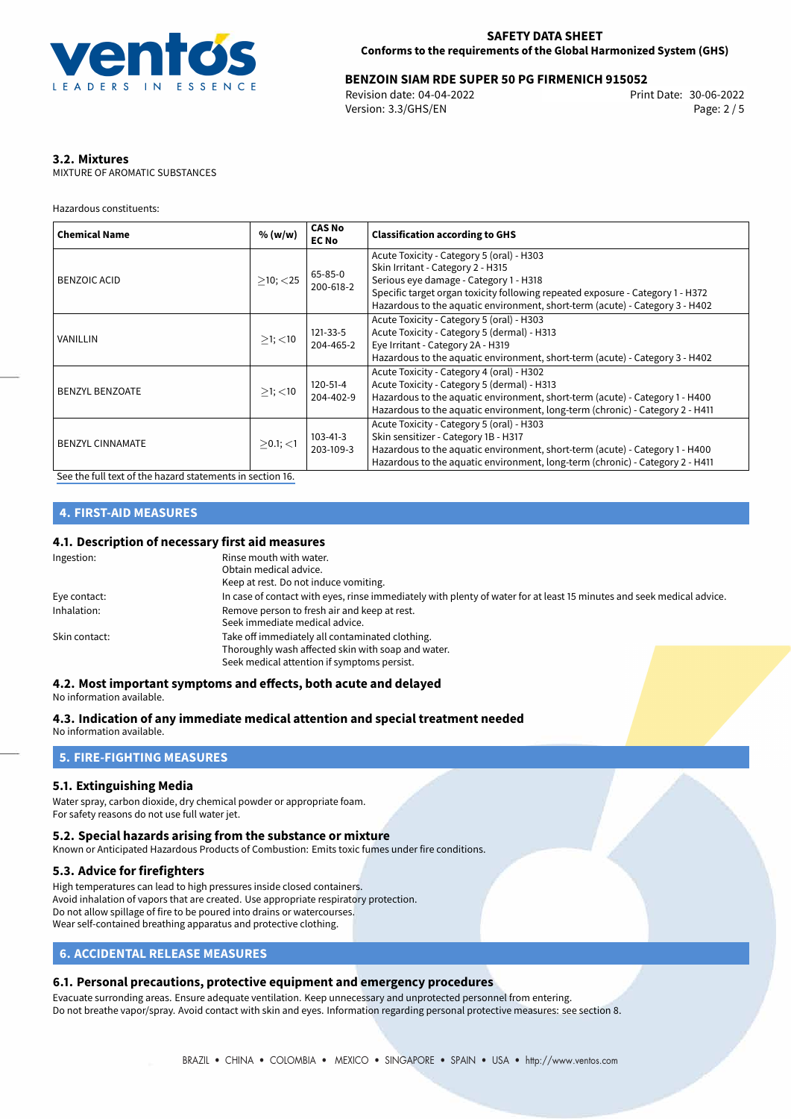

# **BENZOIN SIAM RDE SUPER 50 PG FIRMENICH 915052**<br>2006-2022 Print Date: 30-06-2022

Revision date: 04-04-2022 Version: 3.3/GHS/EN Page: 2 / 5

# **3.2. Mixtures**

MIXTURE OF AROMATIC SUBSTANCES

Hazardous constituents:

| <b>Chemical Name</b>    | % (w/w)          | <b>CAS No</b><br><b>EC No</b> | <b>Classification according to GHS</b>                                                                                                                                                                                                                                                     |
|-------------------------|------------------|-------------------------------|--------------------------------------------------------------------------------------------------------------------------------------------------------------------------------------------------------------------------------------------------------------------------------------------|
| BENZOIC ACID            | $>10$ ; $<$ 25   | 65-85-0<br>200-618-2          | Acute Toxicity - Category 5 (oral) - H303<br>Skin Irritant - Category 2 - H315<br>Serious eye damage - Category 1 - H318<br>Specific target organ toxicity following repeated exposure - Category 1 - H372<br>Hazardous to the aquatic environment, short-term (acute) - Category 3 - H402 |
| VANILLIN                | $>1$ ; $<$ 10    | 121-33-5<br>204-465-2         | Acute Toxicity - Category 5 (oral) - H303<br>Acute Toxicity - Category 5 (dermal) - H313<br>Eye Irritant - Category 2A - H319<br>Hazardous to the aquatic environment, short-term (acute) - Category 3 - H402                                                                              |
| <b>BENZYL BENZOATE</b>  | $\geq$ 1; $<$ 10 | 120-51-4<br>204-402-9         | Acute Toxicity - Category 4 (oral) - H302<br>Acute Toxicity - Category 5 (dermal) - H313<br>Hazardous to the aquatic environment, short-term (acute) - Category 1 - H400<br>Hazardous to the aquatic environment, long-term (chronic) - Category 2 - H411                                  |
| <b>BENZYL CINNAMATE</b> | $>0.1$ ; <1      | 103-41-3<br>203-109-3         | Acute Toxicity - Category 5 (oral) - H303<br>Skin sensitizer - Category 1B - H317<br>Hazardous to the aquatic environment, short-term (acute) - Category 1 - H400<br>Hazardous to the aquatic environment, long-term (chronic) - Category 2 - H411                                         |

[See the full text of the hazard statements in section 16.](#page-4-0)

# **4. FIRST-AID MEASURES**

## **4.1. Description of necessary first aid measures**

| Ingestion:    | Rinse mouth with water.                                                                                               |
|---------------|-----------------------------------------------------------------------------------------------------------------------|
|               | Obtain medical advice.                                                                                                |
|               | Keep at rest. Do not induce vomiting.                                                                                 |
| Eye contact:  | In case of contact with eyes, rinse immediately with plenty of water for at least 15 minutes and seek medical advice. |
| Inhalation:   | Remove person to fresh air and keep at rest.                                                                          |
|               | Seek immediate medical advice.                                                                                        |
| Skin contact: | Take off immediately all contaminated clothing.                                                                       |
|               | Thoroughly wash affected skin with soap and water.                                                                    |
|               | Seek medical attention if symptoms persist.                                                                           |

#### **4.2. Most important symptoms and effects, both acute and delayed** No information available.

# **4.3. Indication of any immediate medical attention and special treatment needed**

No information available.

### **5. FIRE-FIGHTING MEASURES**

### **5.1. Extinguishing Media**

Water spray, carbon dioxide, dry chemical powder or appropriate foam. For safety reasons do not use full water jet.

#### **5.2. Special hazards arising from the substance or mixture**

Known or Anticipated Hazardous Products of Combustion: Emits toxic fumes under fire conditions.

## **5.3. Advice for firefighters**

High temperatures can lead to high pressures inside closed containers. Avoid inhalation of vapors that are created. Use appropriate respiratory protection. Do not allow spillage of fire to be poured into drains or watercourses. Wear self-contained breathing apparatus and protective clothing.

# **6. ACCIDENTAL RELEASE MEASURES**

### **6.1. Personal precautions, protective equipment and emergency procedures**

Evacuate surronding areas. Ensure adequate ventilation. Keep unnecessary and unprotected personnel from entering. Do not breathe vapor/spray. Avoid contact with skin and eyes. Information regarding personal protective measures: see section 8.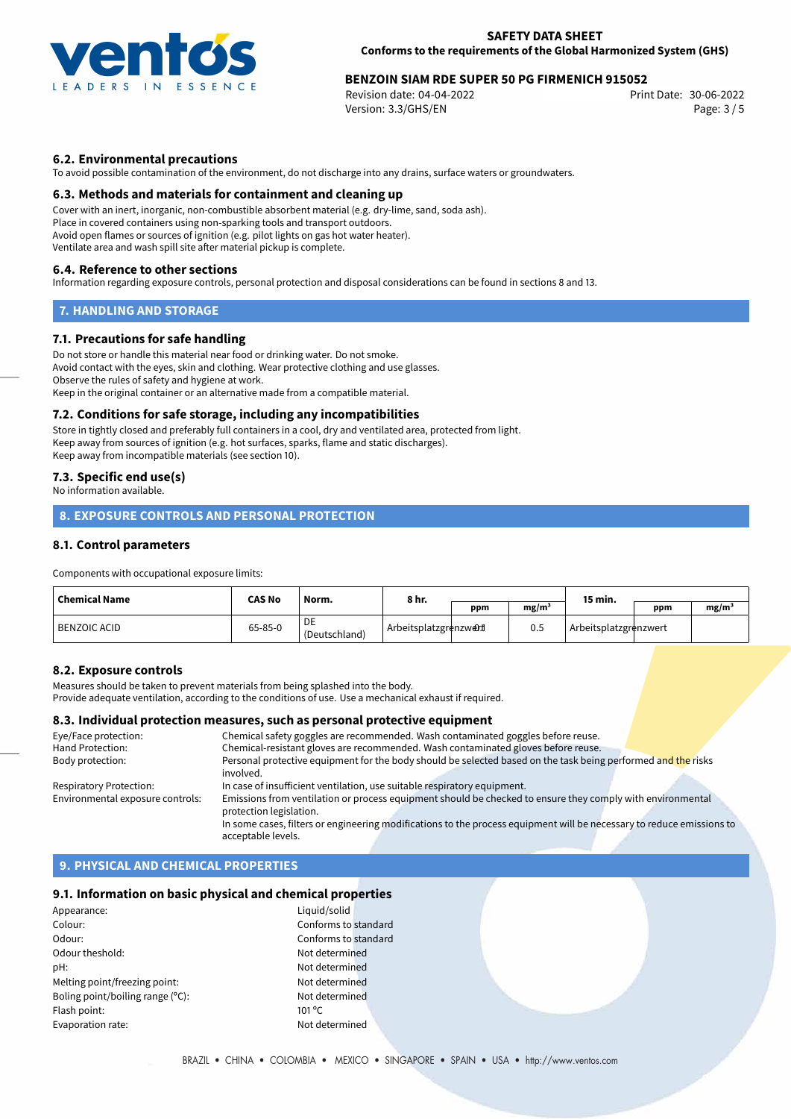

# **BENZOIN SIAM RDE SUPER 50 PG FIRMENICH 915052**<br>Revision date: 04-04-2022 **Benamich Print Date: 30-06-2022**

Revision date: 04-04-2022 Version: 3.3/GHS/EN Page: 3 / 5

## **6.2. Environmental precautions**

To avoid possible contamination of the environment, do not discharge into any drains, surface waters or groundwaters.

#### **6.3. Methods and materials for containment and cleaning up**

Cover with an inert, inorganic, non-combustible absorbent material (e.g. dry-lime, sand, soda ash). Place in covered containers using non-sparking tools and transport outdoors. Avoid open flames or sources of ignition (e.g. pilot lights on gas hot water heater). Ventilate area and wash spill site after material pickup is complete.

#### **6.4. Reference to other sections**

Information regarding exposure controls, personal protection and disposal considerations can be found in sections 8 and 13.

### **7. HANDLING AND STORAGE**

#### **7.1. Precautions for safe handling**

Do not store or handle this material near food or drinking water. Do not smoke. Avoid contact with the eyes, skin and clothing. Wear protective clothing and use glasses. Observe the rules of safety and hygiene at work. Keep in the original container or an alternative made from a compatible material.

#### **7.2. Conditions for safe storage, including any incompatibilities**

Store in tightly closed and preferably full containers in a cool, dry and ventilated area, protected from light. Keep away from sources of ignition (e.g. hot surfaces, sparks, flame and static discharges). Keep away from incompatible materials (see section 10).

### **7.3. Specific end use(s)**

No information available.

# **8. EXPOSURE CONTROLS AND PERSONAL PROTECTION**

## **8.1. Control parameters**

Components with occupational exposure limits:

| <b>Chemical Name</b> | <b>CAS No</b> | Norm.               | 8 hr.                   |     |                   | 15 min.               |     |                   |
|----------------------|---------------|---------------------|-------------------------|-----|-------------------|-----------------------|-----|-------------------|
|                      |               |                     |                         | ppm | mg/m <sup>3</sup> |                       | ppm | mg/m <sup>3</sup> |
| <b>BENZOIC ACID</b>  | $65 - 85 - 0$ | DE<br>(Deutschland) | Arbeitsplatzgrenzwer.tl |     | 0.5               | Arbeitsplatzgrenzwert |     |                   |

### **8.2. Exposure controls**

Measures should be taken to prevent materials from being splashed into the body.

Provide adequate ventilation, according to the conditions of use. Use a mechanical exhaust if required.

# **8.3. Individual protection measures, such as personal protective equipment**

| Eye/Face protection:             | Chemical safety goggles are recommended. Wash contaminated goggles before reuse.                                      |
|----------------------------------|-----------------------------------------------------------------------------------------------------------------------|
| Hand Protection:                 | Chemical-resistant gloves are recommended. Wash contaminated gloves before reuse.                                     |
| Body protection:                 | Personal protective equipment for the body should be selected based on the task being performed and the risks         |
|                                  | involved.                                                                                                             |
| Respiratory Protection:          | In case of insufficient ventilation, use suitable respiratory equipment.                                              |
| Environmental exposure controls: | Emissions from ventilation or process equipment should be checked to ensure they comply with environmental            |
|                                  | protection legislation.                                                                                               |
|                                  | In some cases, filters or engineering modifications to the process equipment will be necessary to reduce emissions to |
|                                  | acceptable levels.                                                                                                    |

### **9. PHYSICAL AND CHEMICAL PROPERTIES**

#### **9.1. Information on basic physical and chemical properties**

| Appearance:                      | Liquid          |
|----------------------------------|-----------------|
| Colour:                          | Confo           |
| Odour:                           | Confo           |
| Odour theshold:                  | Not d           |
| pH:                              | Not d           |
| Melting point/freezing point:    | Not d           |
| Boling point/boiling range (°C): | Not d           |
| Flash point:                     | $101^{\circ}$ C |
| Evaporation rate:                | Not d           |
|                                  |                 |

Conforms to standard Conforms to standard Not determined Not determined Not determined Not determined Not determined

Appearance: Liquid/solid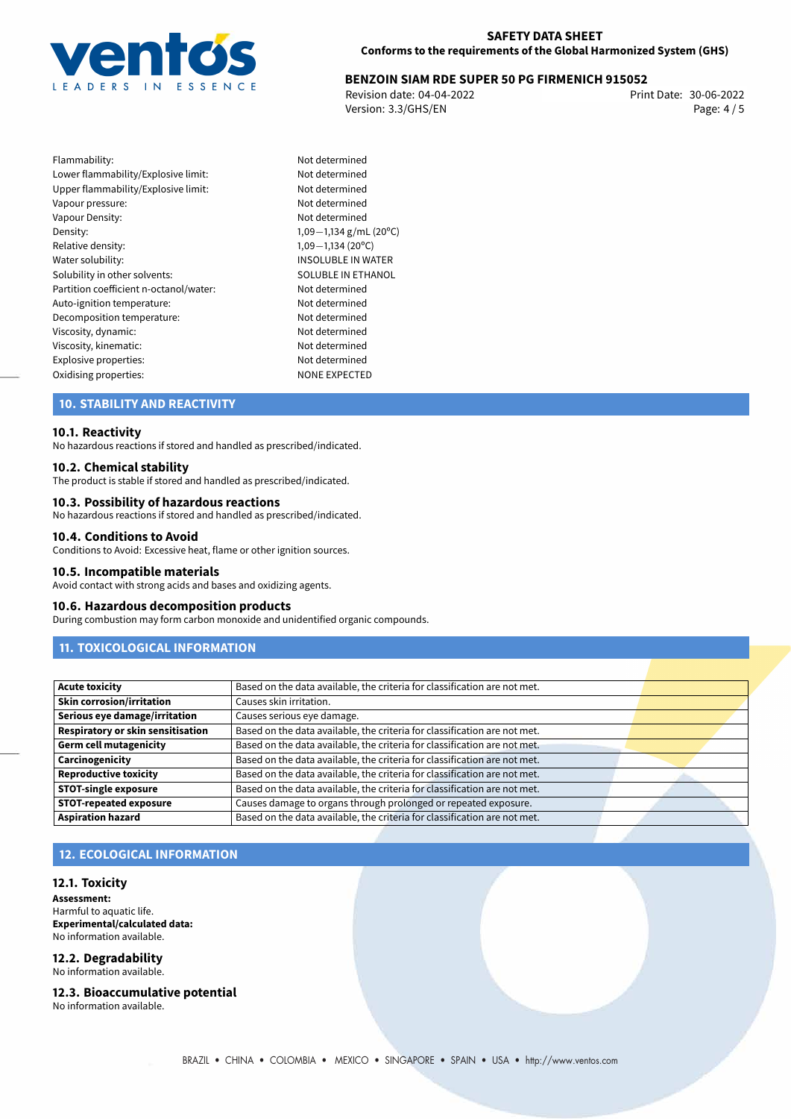

# **BENZOIN SIAM RDE SUPER 50 PG FIRMENICH 915052**<br>2006-2022 Print Date: 30-06-2022

Revision date: 04-04-2022 Version: 3.3/GHS/EN Page: 4 / 5

Flammability: Not determined Lower flammability/Explosive limit: Not determined Upper flammability/Explosive limit: Not determined Vapour pressure: Vapour pressure: Vapour Density: Not determined Density: 1,09−1,134 g/mL (20°C)<br>Relative density: 1,09−1,134 (20°C) Relative density: 1,09−1,134 (20°C)<br>Water solubility: 1,09−1,134 (20°C) Solubility in other solvents: SOLUBLE IN ETHANOL Partition coefficient n-octanol/water: Not determined Auto-ignition temperature: Not determined Decomposition temperature: Not determined Viscosity, dynamic: Not determined Viscosity, kinematic: Not determined Explosive properties:<br>
Oxidising properties:<br>
NONE EXPECTED Oxidising properties:

INSOLUBLE IN WATER

# **10. STABILITY AND REACTIVITY**

#### **10.1. Reactivity**

No hazardous reactions if stored and handled as prescribed/indicated.

#### **10.2. Chemical stability**

The product is stable if stored and handled as prescribed/indicated.

#### **10.3. Possibility of hazardous reactions**

No hazardous reactions if stored and handled as prescribed/indicated.

#### **10.4. Conditions to Avoid**

Conditions to Avoid: Excessive heat, flame or other ignition sources.

#### **10.5. Incompatible materials**

Avoid contact with strong acids and bases and oxidizing agents.

#### **10.6. Hazardous decomposition products**

During combustion may form carbon monoxide and unidentified organic compounds.

# **11. TOXICOLOGICAL INFORMATION**

| <b>Acute toxicity</b>             | Based on the data available, the criteria for classification are not met. |  |
|-----------------------------------|---------------------------------------------------------------------------|--|
| <b>Skin corrosion/irritation</b>  | Causes skin irritation.                                                   |  |
| Serious eye damage/irritation     | Causes serious eye damage.                                                |  |
| Respiratory or skin sensitisation | Based on the data available, the criteria for classification are not met. |  |
| <b>Germ cell mutagenicity</b>     | Based on the data available, the criteria for classification are not met. |  |
| Carcinogenicity                   | Based on the data available, the criteria for classification are not met. |  |
| <b>Reproductive toxicity</b>      | Based on the data available, the criteria for classification are not met. |  |
| <b>STOT-single exposure</b>       | Based on the data available, the criteria for classification are not met. |  |
| <b>STOT-repeated exposure</b>     | Causes damage to organs through prolonged or repeated exposure.           |  |
| <b>Aspiration hazard</b>          | Based on the data available, the criteria for classification are not met. |  |

## **12. ECOLOGICAL INFORMATION**

#### **12.1. Toxicity**

**Assessment:** Harmful to aquatic life. **Experimental/calculated data:** No information available.

#### **12.2. Degradability** No information available.

**12.3. Bioaccumulative potential**

No information available.